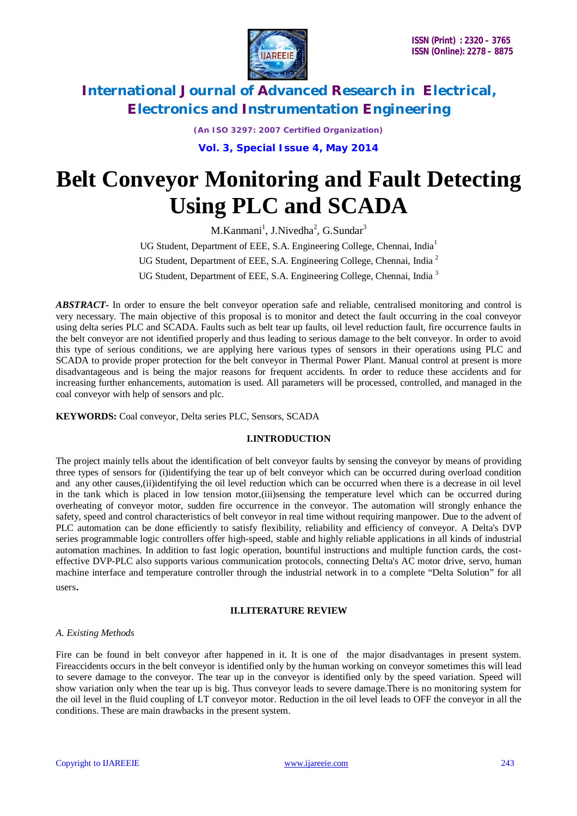

*(An ISO 3297: 2007 Certified Organization)*

**Vol. 3, Special Issue 4, May 2014**

# **Belt Conveyor Monitoring and Fault Detecting Using PLC and SCADA**

M.Kanmani<sup>1</sup>, J.Nivedha<sup>2</sup>, G.Sundar<sup>3</sup> UG Student, Department of EEE, S.A. Engineering College, Chennai, India<sup>1</sup>

UG Student, Department of EEE, S.A. Engineering College, Chennai, India<sup>2</sup>

UG Student, Department of EEE, S.A. Engineering College, Chennai, India<sup>3</sup>

*ABSTRACT***-** In order to ensure the belt conveyor operation safe and reliable, centralised monitoring and control is very necessary. The main objective of this proposal is to monitor and detect the fault occurring in the coal conveyor using delta series PLC and SCADA. Faults such as belt tear up faults, oil level reduction fault, fire occurrence faults in the belt conveyor are not identified properly and thus leading to serious damage to the belt conveyor. In order to avoid this type of serious conditions, we are applying here various types of sensors in their operations using PLC and SCADA to provide proper protection for the belt conveyor in Thermal Power Plant. Manual control at present is more disadvantageous and is being the major reasons for frequent accidents. In order to reduce these accidents and for increasing further enhancements, automation is used. All parameters will be processed, controlled, and managed in the coal conveyor with help of sensors and plc.

**KEYWORDS:** Coal conveyor, Delta series PLC, Sensors, SCADA

#### **I.INTRODUCTION**

The project mainly tells about the identification of belt conveyor faults by sensing the conveyor by means of providing three types of sensors for (i)identifying the tear up of belt conveyor which can be occurred during overload condition and any other causes,(ii)identifying the oil level reduction which can be occurred when there is a decrease in oil level in the tank which is placed in low tension motor,(iii)sensing the temperature level which can be occurred during overheating of conveyor motor, sudden fire occurrence in the conveyor. The automation will strongly enhance the safety, speed and control characteristics of belt conveyor in real time without requiring manpower. Due to the advent of PLC automation can be done efficiently to satisfy flexibility, reliability and efficiency of conveyor. A Delta's DVP series programmable logic controllers offer high-speed, stable and highly reliable applications in all kinds of industrial automation machines. In addition to fast logic operation, bountiful instructions and multiple function cards, the costeffective DVP-PLC also supports various communication protocols, connecting Delta's AC motor drive, servo, human machine interface and temperature controller through the industrial network in to a complete "Delta Solution" for all users.

### **II.LITERATURE REVIEW**

#### *A. Existing Methods*

Fire can be found in belt conveyor after happened in it. It is one of the major disadvantages in present system. Fireaccidents occurs in the belt conveyor is identified only by the human working on conveyor sometimes this will lead to severe damage to the conveyor. The tear up in the conveyor is identified only by the speed variation. Speed will show variation only when the tear up is big. Thus conveyor leads to severe damage.There is no monitoring system for the oil level in the fluid coupling of LT conveyor motor. Reduction in the oil level leads to OFF the conveyor in all the conditions. These are main drawbacks in the present system.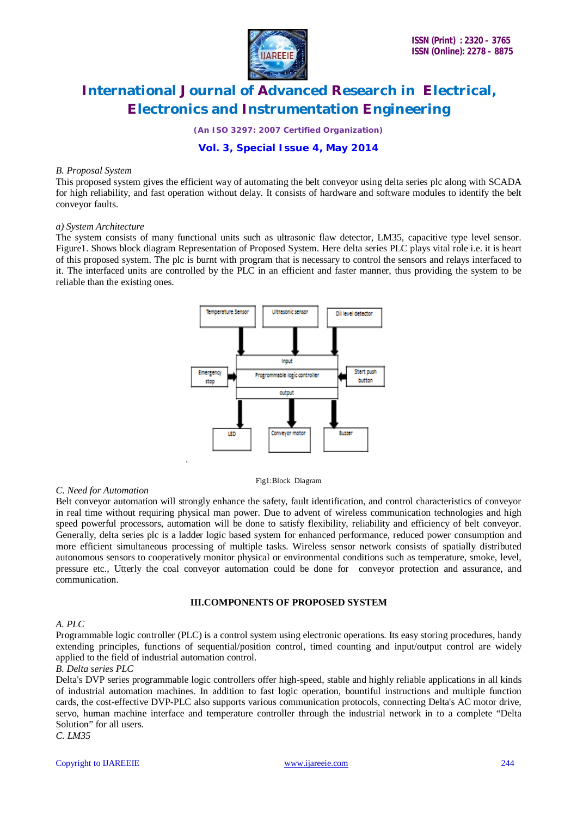

*(An ISO 3297: 2007 Certified Organization)*

## **Vol. 3, Special Issue 4, May 2014**

#### *B. Proposal System*

This proposed system gives the efficient way of automating the belt conveyor using delta series plc along with SCADA for high reliability, and fast operation without delay. It consists of hardware and software modules to identify the belt conveyor faults.

#### *a) System Architecture*

The system consists of many functional units such as ultrasonic flaw detector, LM35, capacitive type level sensor. Figure1. Shows block diagram Representation of Proposed System. Here delta series PLC plays vital role i.e. it is heart of this proposed system. The plc is burnt with program that is necessary to control the sensors and relays interfaced to it. The interfaced units are controlled by the PLC in an efficient and faster manner, thus providing the system to be reliable than the existing ones.



Fig1:Block Diagram

#### *C. Need for Automation*

Belt conveyor automation will strongly enhance the safety, fault identification, and control characteristics of conveyor in real time without requiring physical man power. Due to advent of wireless communication technologies and high speed powerful processors, automation will be done to satisfy flexibility, reliability and efficiency of belt conveyor. Generally, delta series plc is a ladder logic based system for enhanced performance, reduced power consumption and more efficient simultaneous processing of multiple tasks. Wireless sensor network consists of spatially distributed autonomous sensors to cooperatively monitor physical or environmental conditions such as temperature, smoke, level, pressure etc., Utterly the coal conveyor automation could be done for conveyor protection and assurance, and communication.

#### **III.COMPONENTS OF PROPOSED SYSTEM**

#### *A. PLC*

Programmable logic controller (PLC) is a control system using electronic operations. Its easy storing procedures, handy extending principles, functions of sequential/position control, timed counting and input/output control are widely applied to the field of industrial automation control.

#### *B. Delta series PLC*

Delta's DVP series programmable logic controllers offer high-speed, stable and highly reliable applications in all kinds of industrial automation machines. In addition to fast logic operation, bountiful instructions and multiple function cards, the cost-effective DVP-PLC also supports various communication protocols, connecting Delta's AC motor drive, servo, human machine interface and temperature controller through the industrial network in to a complete "Delta Solution" for all users.

*C. LM35*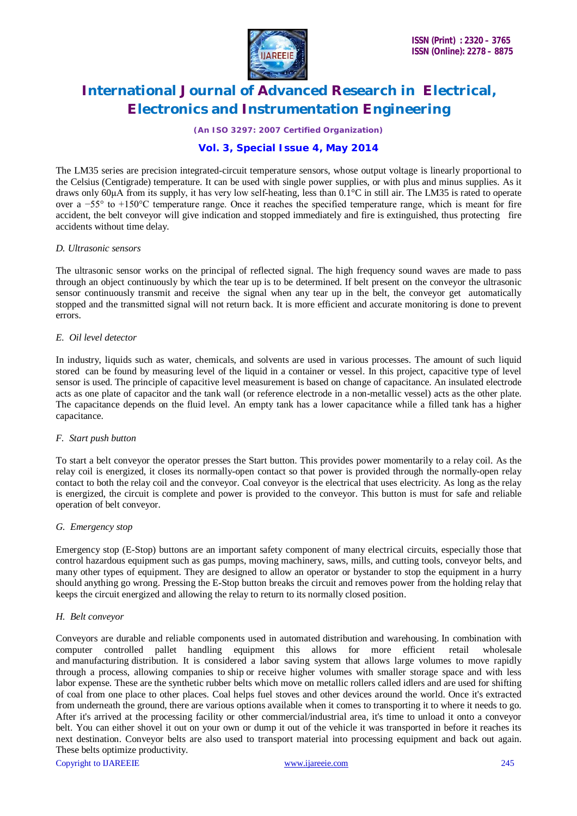

*(An ISO 3297: 2007 Certified Organization)*

## **Vol. 3, Special Issue 4, May 2014**

The LM35 series are precision integrated-circuit temperature sensors, whose output voltage is linearly proportional to the Celsius (Centigrade) temperature. It can be used with single power supplies, or with plus and minus supplies. As it draws only 60μA from its supply, it has very low self-heating, less than 0.1°C in still air. The LM35 is rated to operate over a −55° to +150°C temperature range. Once it reaches the specified temperature range, which is meant for fire accident, the belt conveyor will give indication and stopped immediately and fire is extinguished, thus protecting fire accidents without time delay.

#### *D. Ultrasonic sensors*

The ultrasonic sensor works on the principal of reflected signal. The high frequency sound waves are made to pass through an object continuously by which the tear up is to be determined. If belt present on the conveyor the ultrasonic sensor continuously transmit and receive the signal when any tear up in the belt, the conveyor get automatically stopped and the transmitted signal will not return back. It is more efficient and accurate monitoring is done to prevent errors.

#### *E. Oil level detector*

In industry, liquids such as water, chemicals, and solvents are used in various processes. The amount of such liquid stored can be found by measuring level of the liquid in a container or vessel. In this project, capacitive type of level sensor is used. The principle of capacitive level measurement is based on change of capacitance. An insulated electrode acts as one plate of capacitor and the tank wall (or reference electrode in a non-metallic vessel) acts as the other plate. The capacitance depends on the fluid level. An empty tank has a lower capacitance while a filled tank has a higher capacitance.

#### *F. Start push button*

To start a belt conveyor the operator presses the Start button. This provides power momentarily to a relay coil. As the relay coil is energized, it closes its normally-open contact so that power is provided through the normally-open relay contact to both the relay coil and the conveyor. Coal conveyor is the electrical that uses electricity. As long as the relay is energized, the circuit is complete and power is provided to the conveyor. This button is must for safe and reliable operation of belt conveyor.

#### *G. Emergency stop*

Emergency stop (E-Stop) buttons are an important safety component of many electrical circuits, especially those that control hazardous equipment such as gas pumps, moving machinery, saws, mills, and cutting tools, conveyor belts, and many other types of equipment. They are designed to allow an operator or bystander to stop the equipment in a hurry should anything go wrong. Pressing the E-Stop button breaks the circuit and removes power from the holding relay that keeps the circuit energized and allowing the relay to return to its normally closed position.

#### *H. Belt conveyor*

Copyright to IJAREEIE www.ijareeie.com 245 Conveyors are durable and reliable components used in automated distribution and warehousing. In combination with computer controlled pallet handling equipment this allows for more efficient retail wholesale and manufacturing distribution. It is considered a labor saving system that allows large volumes to move rapidly through a process, allowing companies to ship or receive higher volumes with smaller storage space and with less labor expense. These are the synthetic rubber belts which move on metallic rollers called idlers and are used for shifting of coal from one place to other places. Coal helps fuel stoves and other devices around the world. Once it's extracted from underneath the ground, there are various options available when it comes to transporting it to where it needs to go. After it's arrived at the processing facility or other commercial/industrial area, it's time to unload it onto a conveyor belt. You can either shovel it out on your own or dump it out of the vehicle it was transported in before it reaches its next destination. Conveyor belts are also used to transport material into processing equipment and back out again. These belts optimize productivity.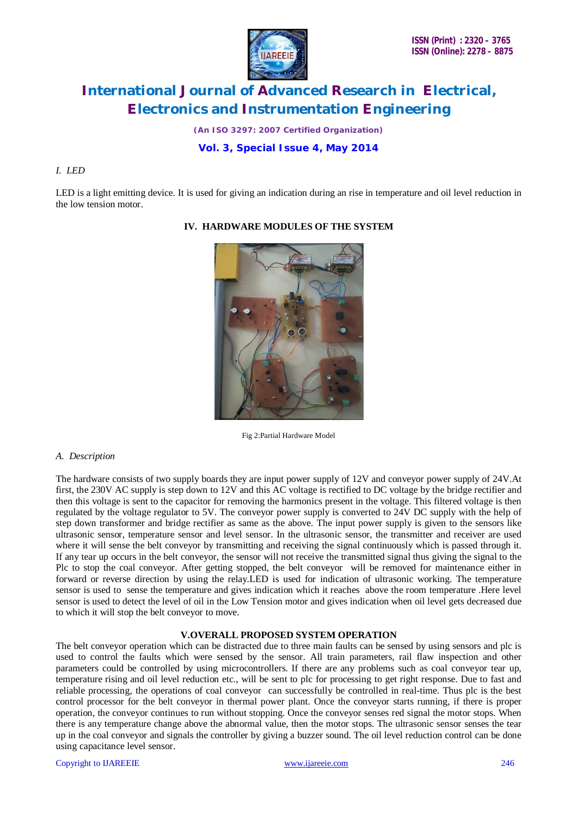

*(An ISO 3297: 2007 Certified Organization)*

# **Vol. 3, Special Issue 4, May 2014**

#### *I. LED*

LED is a light emitting device. It is used for giving an indication during an rise in temperature and oil level reduction in the low tension motor.



### **IV. HARDWARE MODULES OF THE SYSTEM**

Fig 2:Partial Hardware Model

#### *A. Description*

The hardware consists of two supply boards they are input power supply of 12V and conveyor power supply of 24V.At first, the 230V AC supply is step down to 12V and this AC voltage is rectified to DC voltage by the bridge rectifier and then this voltage is sent to the capacitor for removing the harmonics present in the voltage. This filtered voltage is then regulated by the voltage regulator to 5V. The conveyor power supply is converted to 24V DC supply with the help of step down transformer and bridge rectifier as same as the above. The input power supply is given to the sensors like ultrasonic sensor, temperature sensor and level sensor. In the ultrasonic sensor, the transmitter and receiver are used where it will sense the belt conveyor by transmitting and receiving the signal continuously which is passed through it. If any tear up occurs in the belt conveyor, the sensor will not receive the transmitted signal thus giving the signal to the Plc to stop the coal conveyor. After getting stopped, the belt conveyor will be removed for maintenance either in forward or reverse direction by using the relay.LED is used for indication of ultrasonic working. The temperature sensor is used to sense the temperature and gives indication which it reaches above the room temperature .Here level sensor is used to detect the level of oil in the Low Tension motor and gives indication when oil level gets decreased due to which it will stop the belt conveyor to move.

#### **V.OVERALL PROPOSED SYSTEM OPERATION**

The belt conveyor operation which can be distracted due to three main faults can be sensed by using sensors and plc is used to control the faults which were sensed by the sensor. All train parameters, rail flaw inspection and other parameters could be controlled by using microcontrollers. If there are any problems such as coal conveyor tear up, temperature rising and oil level reduction etc., will be sent to plc for processing to get right response. Due to fast and reliable processing, the operations of coal conveyor can successfully be controlled in real-time. Thus plc is the best control processor for the belt conveyor in thermal power plant. Once the conveyor starts running, if there is proper operation, the conveyor continues to run without stopping. Once the conveyor senses red signal the motor stops. When there is any temperature change above the abnormal value, then the motor stops. The ultrasonic sensor senses the tear up in the coal conveyor and signals the controller by giving a buzzer sound. The oil level reduction control can be done using capacitance level sensor.

#### Copyright to IJAREEIE www.ijareeie.com 246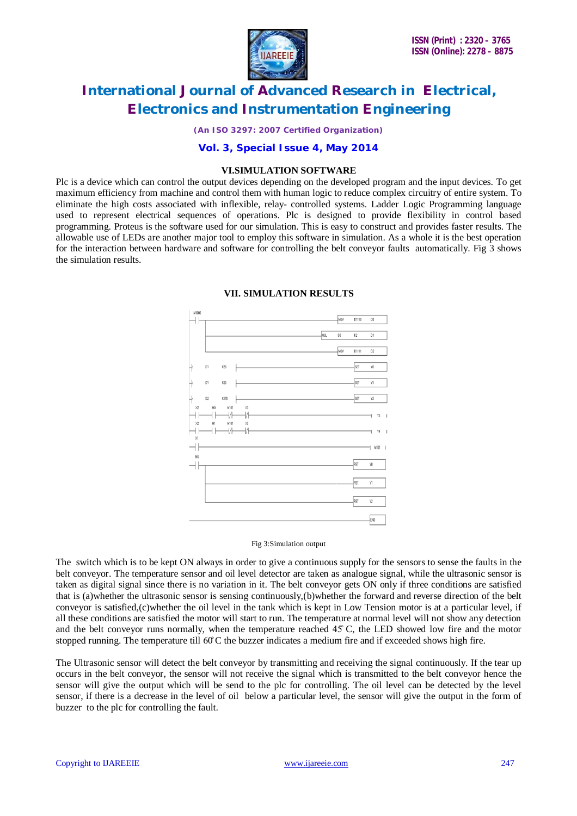

*(An ISO 3297: 2007 Certified Organization)*

### **Vol. 3, Special Issue 4, May 2014**

#### **VI.SIMULATION SOFTWARE**

Plc is a device which can control the output devices depending on the developed program and the input devices. To get maximum efficiency from machine and control them with human logic to reduce complex circuitry of entire system. To eliminate the high costs associated with inflexible, relay- controlled systems. Ladder Logic Programming language used to represent electrical sequences of operations. Plc is designed to provide flexibility in control based programming. Proteus is the software used for our simulation. This is easy to construct and provides faster results. The allowable use of LEDs are another major tool to employ this software in simulation. As a whole it is the best operation for the interaction between hardware and software for controlling the belt conveyor faults automatically. Fig 3 shows the simulation results.



#### **VII. SIMULATION RESULTS**

Fig 3:Simulation output

The switch which is to be kept ON always in order to give a continuous supply for the sensors to sense the faults in the belt conveyor. The temperature sensor and oil level detector are taken as analogue signal, while the ultrasonic sensor is taken as digital signal since there is no variation in it. The belt conveyor gets ON only if three conditions are satisfied that is (a)whether the ultrasonic sensor is sensing continuously,(b)whether the forward and reverse direction of the belt conveyor is satisfied,(c)whether the oil level in the tank which is kept in Low Tension motor is at a particular level, if all these conditions are satisfied the motor will start to run. The temperature at normal level will not show any detection and the belt conveyor runs normally, when the temperature reached 45̊ C, the LED showed low fire and the motor stopped running. The temperature till 60°C the buzzer indicates a medium fire and if exceeded shows high fire.

The Ultrasonic sensor will detect the belt conveyor by transmitting and receiving the signal continuously. If the tear up occurs in the belt conveyor, the sensor will not receive the signal which is transmitted to the belt conveyor hence the sensor will give the output which will be send to the plc for controlling. The oil level can be detected by the level sensor, if there is a decrease in the level of oil below a particular level, the sensor will give the output in the form of buzzer to the plc for controlling the fault.